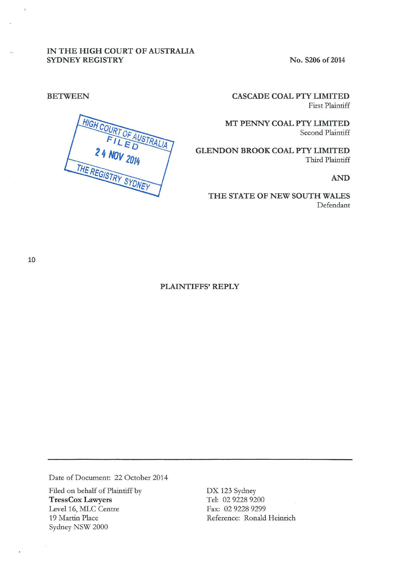## IN THE HIGH COURT OF AUSTRALIA SYDNEY REGISTRY

No. S206 of 2014

BETWEEN

HIGH COURT AUSTRALIA 24 NOV 2014 THE REGISTRY SYDNE

CASCADE COAL PTY LIMITED First Plaintiff

MT PENNY COAL PTY LIMITED Second Plaintiff

GLENDON BROOK COAL PTY LIMITED Third Plaintiff

AND

THE STATE OF NEW SOUTH WALES Defendant

# PLAINTIFFS' REPLY

Date of Document: 22 October 2014

Filed on behalf of Plaintiff by TressCox Lawyers Level 16, MLC Centre 19 Martin Place Sydney NSW 2000

DX 123 Sydney Tel: 02 9228 9200 Fax: 02 9228 9299 Reference: Ronald Heinrich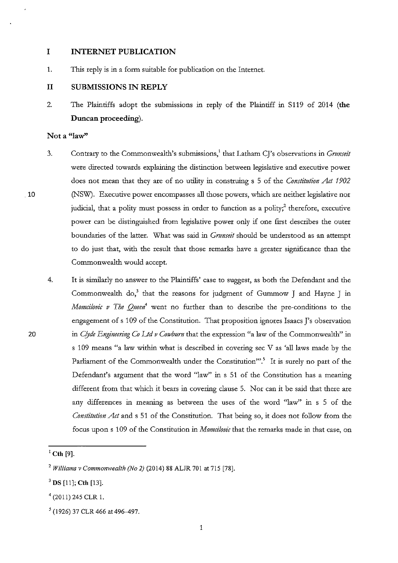## **I INTERNET PUBLICATION**

1. This reply is in a form suitable for publication on the Internet.

## **II SUBMISSIONS IN REPLY**

2. The Plaintiffs adopt the submissions in reply of the Plaintiff in S119 of 2014 **(the Duncan proceeding).** 

#### **Not a "law''**

.10

20

- 3. Contrary to the Commonwealth's submissions,<sup>1</sup> that Latham CJ's observations in *Grunseit* were directed towards explaining the distinction between legislative and executive power does not mean that they are of no utility in construing s 5 of the *Constitution Act 1902*  (NSW). Executive power encompasses all those powers, which are neither legislative nor judicial, that a polity must possess in order to function as a polity;<sup>2</sup> therefore, executive power can be distinguished from legislative power only if one first describes the outer boundaries of the latter. What was said in *Gnmseit* should be understood as an attempt to do just that, with the result that those remarks have a greater significance than the Commonwealth would accept.
- 4. It is similarly no answer to the Plaintiffs' case to suggest, as both the Defendant and the Commonwealth do,<sup>3</sup> that the reasons for judgment of Gummow J and Hayne J in *Momcilovic v The Queen'* went no further than to describe the pre-conditions to the engagement of s 109 of the Constitution. That proposition ignores Isaacs J's observation in *Clyde Engimering Co Ud v Cowburn* that the expression "a law of the Commonwealth" in s 109 means "a law within what is described in covering sec Vas 'all laws made by the Parliament of the Commonwealth under the Constitution"<sup>5</sup>. It is surely no part of the Defendant's argument that the word "law" in s 51 of the Constitution has a meaning different from that which it bears in covering clause 5. Nor can it be said that there are any differences in meaning as between the uses of the word "law'' in s 5 of the *Constitution Act* and s 51 of the Constitution. That being so, it does not follow from the focus upon s 109 of the Constitution in *Momcilovic* that the remarks made in that case, on

 $^{1}$  Cth [9].

<sup>2</sup>*Williams* v *Commonwealth (No 2)* (2014) 88 ALJR 701 at 715 [78].

<sup>3</sup>**DS** [11]; **Cth** [13].

 $4$  (2011) 245 CLR 1.

<sup>5 (1926) 37</sup> CLR 466 at 496-497.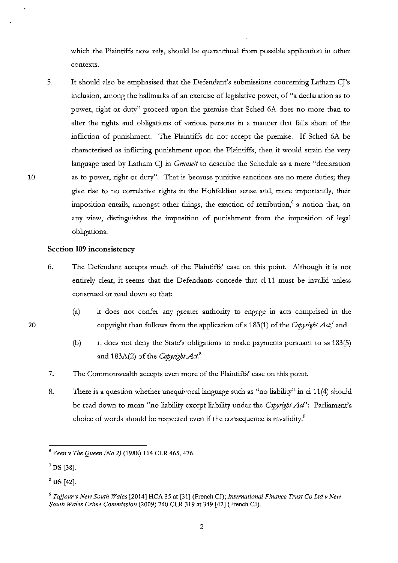which the Plaintiffs now rely, should be quarantined from possible application in other **contexts.** 

5. It should also be emphasised that the Defendant's submissions concerning Latham CJ's inclusion, among the hallmarks of an exercise of legislative power, of "a declaration as to power, right or duty" proceed upon the premise that Sched 6A does no more than to alter the rights and obligations of various persons in a manner that falls short of the infliction of punishment. The Plaintiffs do not accept the premise. If Sched 6A be characterised as inflicting punishment upon the Plaintiffs, then it would strain the very language used by Latham CJ in *Grunseit* to describe the Schedule as a mere "declaration" as to power, right or duty". That is because punitive sanctions are no mere duties; they give rise to no correlative rights in the Hohfeldian sense and, more importantly, their imposition entails, amongst other things, the exaction of retribution,  $6$  a notion that, on any view, distinguishes the imposition of punishment from the imposition of legal obligations.

## **Section 109 inconsistency**

- 6. The Defendant accepts much of the Plaintiffs' case on this point. Although it is not entirely clear, it seems that the Defendants concede that cl 11 must be invalid uuless construed or read down so that:
	- (a) it does not confer any greater authority to engage m acts comprised in the copyright than follows from the application of s 183(1) of the *Copyright Act,'* and
	- (b) it does not deny the State's obligations to make payments pursuant to ss 183(5) and 183A(2) of the *Copytight Act.* <sup>8</sup>
- 7. The Commonwealth accepts even more of the Plaintiffs' case on this point.
- 8. There is a question whether unequivocal language such as "no liability" in cl 11(4) should be read down to mean "no liability except liability under the *Copyright Act*": Parliament's choice of words should be respected even if the consequence is invalidity?

20

<sup>6</sup>*Veen v The Queen (No 2)* (1988) 164 CLR 465,476.

<sup>7</sup>**DS** [38].

<sup>8</sup>**DS** [42].

<sup>9</sup>*Tajjour v New South Wales* [2014] HCA 35 at [31] (French CJ); *International Finance Trust Co Ltdv New South Wales Crime Commission* (2009) 240 CLR 319 at 349 [42] (French CJ).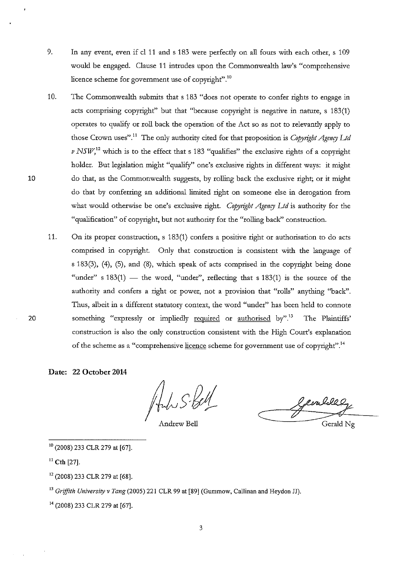- 9. In any event, even if cl 11 and s 183 were perfecdy on all fours with each other, s 109 would be engaged. Clause 11 intrudes upon the Commonwealth law's "comprehensive licence scheme for government use of copyright".<sup>10</sup>
- 10. The Commonwealth submits that s 183 "does not operate to confer rights to engage in acts comprising copyright" but that "because copyright is negative in nature, s 183(1) operates to qualify or roll back the operation of the Act so as not to relevandy apply to those Crown uses".<sup>11</sup> The only authority cited for that proposition is *Copyright Agency Ltd*  $\nu$  *NSW*,<sup>12</sup> which is to the effect that s 183 "qualifies" the exclusive rights of a copyright holder. But legislation might "qualify" one's exclusive rights in different ways: it might do that, as the Commonwealth suggests, by rolling back the exclusive right; or it might do that by conferring an additional limited right on someone else in derogation from what would otherwise be one's exclusive right. *Copyright Agency Ltd* is authority for the "qualification" of copyright, but not authority for the "rolling back" construction.
- 11. On its proper construction, s 183(1) confers a positive right or authorisation to do acts comprised in copyright. Only that construction is consistent with the language of s 183(3), (4), (5), and (8), which speak of acts comprised in the copyright being done "under" s  $183(1)$  — the word, "under", reflecting that s  $183(1)$  is the source of the authority and confers a right or power, not a provision that "rolls" anything "back". Thus, albeit in a different statutory context, the word "under" has been held to connote something "expressly or impliedly required or authorised by".<sup>13</sup> The Plaintiffs' construction is also the ouly construction consistent with the High Court's explanation of the scheme as a "comprehensive licence scheme for government use of copyright".14
- **Date: 22 October 2014**

fordus S. Bell

Andrew Bell

 $e_{\rm t}$ 

Gerald Ng

- 10 (2008) 233 CLR 279 at [67].
- II **Cth** [27].

10

20

- 12 (2008) 233 CLR 279 at [68].
- <sup>13</sup>*Griffith University v Tang* (2005) 221 CLR 99 at [89] (Gummow, Callinan and Heydon JJ).
- 14 (2008) 233 CLR 279 at [67].